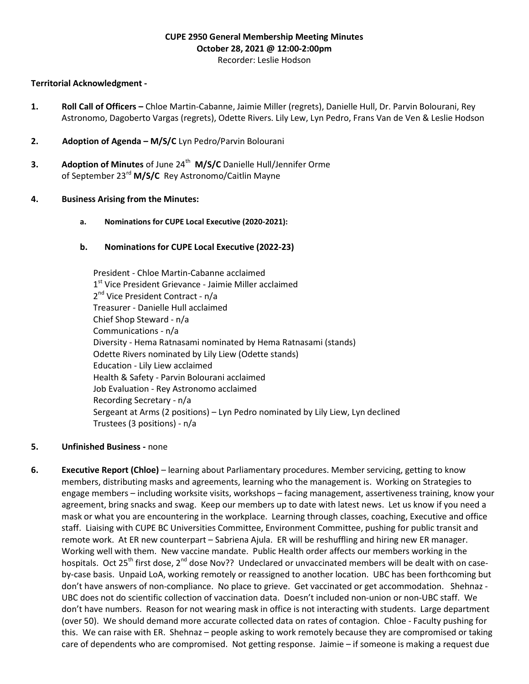# CUPE 2950 General Membership Meeting Minutes October 28, 2021 @ 12:00-2:00pm

#### Recorder: Leslie Hodson

### Territorial Acknowledgment -

- 1. Roll Call of Officers Chloe Martin-Cabanne, Jaimie Miller (regrets), Danielle Hull, Dr. Parvin Bolourani, Rey Astronomo, Dagoberto Vargas (regrets), Odette Rivers. Lily Lew, Lyn Pedro, Frans Van de Ven & Leslie Hodson
- 2. Adoption of Agenda M/S/C Lyn Pedro/Parvin Bolourani
- **3.** Adoption of Minutes of June  $24^{th}$  M/S/C Danielle Hull/Jennifer Orme of September 23<sup>rd</sup> M/S/C Rey Astronomo/Caitlin Mayne

#### 4. Business Arising from the Minutes:

a. Nominations for CUPE Local Executive (2020-2021):

## b. Nominations for CUPE Local Executive (2022-23)

 President - Chloe Martin-Cabanne acclaimed 1<sup>st</sup> Vice President Grievance - Jaimie Miller acclaimed 2<sup>nd</sup> Vice President Contract - n/a Treasurer - Danielle Hull acclaimed Chief Shop Steward - n/a Communications - n/a Diversity - Hema Ratnasami nominated by Hema Ratnasami (stands) Odette Rivers nominated by Lily Liew (Odette stands) Education - Lily Liew acclaimed Health & Safety - Parvin Bolourani acclaimed Job Evaluation - Rey Astronomo acclaimed Recording Secretary - n/a Sergeant at Arms (2 positions) – Lyn Pedro nominated by Lily Liew, Lyn declined Trustees (3 positions) - n/a

#### 5. Unfinished Business - none

6. Executive Report (Chloe) – learning about Parliamentary procedures. Member servicing, getting to know members, distributing masks and agreements, learning who the management is. Working on Strategies to engage members – including worksite visits, workshops – facing management, assertiveness training, know your agreement, bring snacks and swag. Keep our members up to date with latest news. Let us know if you need a mask or what you are encountering in the workplace. Learning through classes, coaching, Executive and office staff. Liaising with CUPE BC Universities Committee, Environment Committee, pushing for public transit and remote work. At ER new counterpart – Sabriena Ajula. ER will be reshuffling and hiring new ER manager. Working well with them. New vaccine mandate. Public Health order affects our members working in the hospitals. Oct 25<sup>th</sup> first dose, 2<sup>nd</sup> dose Nov?? Undeclared or unvaccinated members will be dealt with on caseby-case basis. Unpaid LoA, working remotely or reassigned to another location. UBC has been forthcoming but don't have answers of non-compliance. No place to grieve. Get vaccinated or get accommodation. Shehnaz - UBC does not do scientific collection of vaccination data. Doesn't included non-union or non-UBC staff. We don't have numbers. Reason for not wearing mask in office is not interacting with students. Large department (over 50). We should demand more accurate collected data on rates of contagion. Chloe - Faculty pushing for this. We can raise with ER. Shehnaz – people asking to work remotely because they are compromised or taking care of dependents who are compromised. Not getting response. Jaimie – if someone is making a request due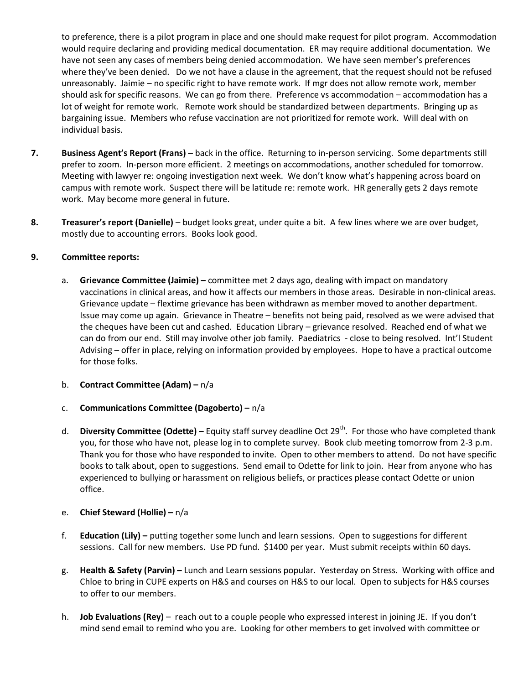to preference, there is a pilot program in place and one should make request for pilot program. Accommodation would require declaring and providing medical documentation. ER may require additional documentation. We have not seen any cases of members being denied accommodation. We have seen member's preferences where they've been denied. Do we not have a clause in the agreement, that the request should not be refused unreasonably. Jaimie – no specific right to have remote work. If mgr does not allow remote work, member should ask for specific reasons. We can go from there. Preference vs accommodation – accommodation has a lot of weight for remote work. Remote work should be standardized between departments. Bringing up as bargaining issue. Members who refuse vaccination are not prioritized for remote work. Will deal with on individual basis.

- 7. Business Agent's Report (Frans) back in the office. Returning to in-person servicing. Some departments still prefer to zoom. In-person more efficient. 2 meetings on accommodations, another scheduled for tomorrow. Meeting with lawyer re: ongoing investigation next week. We don't know what's happening across board on campus with remote work. Suspect there will be latitude re: remote work. HR generally gets 2 days remote work. May become more general in future.
- 8. Treasurer's report (Danielle) budget looks great, under quite a bit. A few lines where we are over budget, mostly due to accounting errors. Books look good.

## 9. Committee reports:

a. Grievance Committee (Jaimie) – committee met 2 days ago, dealing with impact on mandatory vaccinations in clinical areas, and how it affects our members in those areas. Desirable in non-clinical areas. Grievance update – flextime grievance has been withdrawn as member moved to another department. Issue may come up again. Grievance in Theatre – benefits not being paid, resolved as we were advised that the cheques have been cut and cashed. Education Library – grievance resolved. Reached end of what we can do from our end. Still may involve other job family. Paediatrics - close to being resolved. Int'l Student Advising – offer in place, relying on information provided by employees. Hope to have a practical outcome for those folks.

#### b. Contract Committee (Adam) – n/a

- c. Communications Committee (Dagoberto)  $n/a$
- d. Diversity Committee (Odette) Equity staff survey deadline Oct 29<sup>th</sup>. For those who have completed thank you, for those who have not, please log in to complete survey. Book club meeting tomorrow from 2-3 p.m. Thank you for those who have responded to invite. Open to other members to attend. Do not have specific books to talk about, open to suggestions. Send email to Odette for link to join. Hear from anyone who has experienced to bullying or harassment on religious beliefs, or practices please contact Odette or union office.
- e. Chief Steward (Hollie) n/a
- f. Education (Lily) putting together some lunch and learn sessions. Open to suggestions for different sessions. Call for new members. Use PD fund. \$1400 per year. Must submit receipts within 60 days.
- g. Health & Safety (Parvin) Lunch and Learn sessions popular. Yesterday on Stress. Working with office and Chloe to bring in CUPE experts on H&S and courses on H&S to our local. Open to subjects for H&S courses to offer to our members.
- h. **Job Evaluations (Rey)** reach out to a couple people who expressed interest in joining JE. If you don't mind send email to remind who you are. Looking for other members to get involved with committee or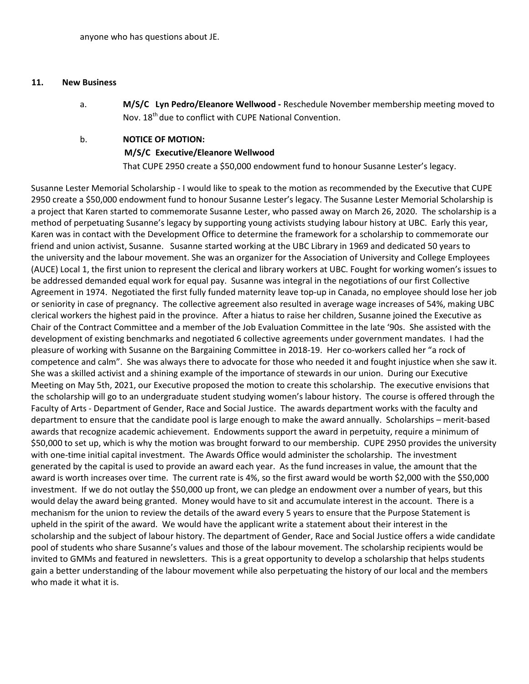#### 11. New Business

a. M/S/C Lyn Pedro/Eleanore Wellwood - Reschedule November membership meeting moved to Nov. 18<sup>th</sup> due to conflict with CUPE National Convention.

## b. NOTICE OF MOTION: M/S/C Executive/Eleanore Wellwood

That CUPE 2950 create a \$50,000 endowment fund to honour Susanne Lester's legacy.

Susanne Lester Memorial Scholarship - I would like to speak to the motion as recommended by the Executive that CUPE 2950 create a \$50,000 endowment fund to honour Susanne Lester's legacy. The Susanne Lester Memorial Scholarship is a project that Karen started to commemorate Susanne Lester, who passed away on March 26, 2020. The scholarship is a method of perpetuating Susanne's legacy by supporting young activists studying labour history at UBC. Early this year, Karen was in contact with the Development Office to determine the framework for a scholarship to commemorate our friend and union activist, Susanne. Susanne started working at the UBC Library in 1969 and dedicated 50 years to the university and the labour movement. She was an organizer for the Association of University and College Employees (AUCE) Local 1, the first union to represent the clerical and library workers at UBC. Fought for working women's issues to be addressed demanded equal work for equal pay. Susanne was integral in the negotiations of our first Collective Agreement in 1974. Negotiated the first fully funded maternity leave top-up in Canada, no employee should lose her job or seniority in case of pregnancy. The collective agreement also resulted in average wage increases of 54%, making UBC clerical workers the highest paid in the province. After a hiatus to raise her children, Susanne joined the Executive as Chair of the Contract Committee and a member of the Job Evaluation Committee in the late '90s. She assisted with the development of existing benchmarks and negotiated 6 collective agreements under government mandates. I had the pleasure of working with Susanne on the Bargaining Committee in 2018-19. Her co-workers called her "a rock of competence and calm". She was always there to advocate for those who needed it and fought injustice when she saw it. She was a skilled activist and a shining example of the importance of stewards in our union. During our Executive Meeting on May 5th, 2021, our Executive proposed the motion to create this scholarship. The executive envisions that the scholarship will go to an undergraduate student studying women's labour history. The course is offered through the Faculty of Arts - Department of Gender, Race and Social Justice. The awards department works with the faculty and department to ensure that the candidate pool is large enough to make the award annually. Scholarships – merit-based awards that recognize academic achievement. Endowments support the award in perpetuity, require a minimum of \$50,000 to set up, which is why the motion was brought forward to our membership. CUPE 2950 provides the university with one-time initial capital investment. The Awards Office would administer the scholarship. The investment generated by the capital is used to provide an award each year. As the fund increases in value, the amount that the award is worth increases over time. The current rate is 4%, so the first award would be worth \$2,000 with the \$50,000 investment. If we do not outlay the \$50,000 up front, we can pledge an endowment over a number of years, but this would delay the award being granted. Money would have to sit and accumulate interest in the account. There is a mechanism for the union to review the details of the award every 5 years to ensure that the Purpose Statement is upheld in the spirit of the award. We would have the applicant write a statement about their interest in the scholarship and the subject of labour history. The department of Gender, Race and Social Justice offers a wide candidate pool of students who share Susanne's values and those of the labour movement. The scholarship recipients would be invited to GMMs and featured in newsletters. This is a great opportunity to develop a scholarship that helps students gain a better understanding of the labour movement while also perpetuating the history of our local and the members who made it what it is.